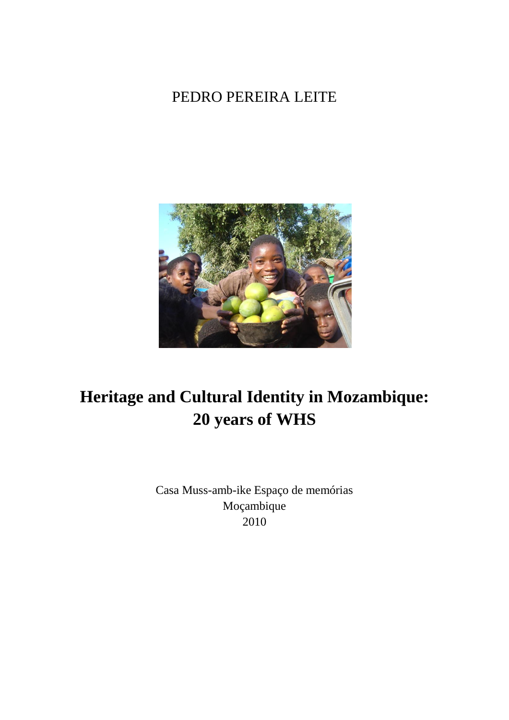### PEDRO PEREIRA LEITE



## **Heritage and Cultural Identity in Mozambique: 20 years of WHS**

Casa Muss-amb-ike Espaço de memórias Moçambique 2010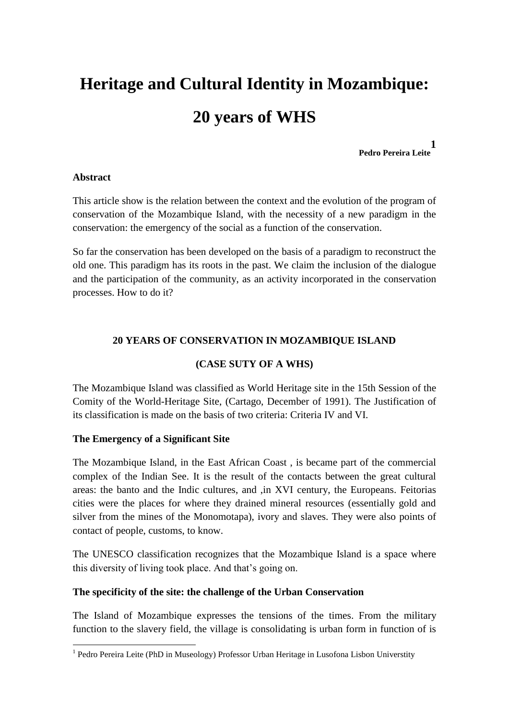# **Heritage and Cultural Identity in Mozambique: 20 years of WHS**

**Pedro Pereira Leite 1**

#### **Abstract**

This article show is the relation between the context and the evolution of the program of conservation of the Mozambique Island, with the necessity of a new paradigm in the conservation: the emergency of the social as a function of the conservation.

So far the conservation has been developed on the basis of a paradigm to reconstruct the old one. This paradigm has its roots in the past. We claim the inclusion of the dialogue and the participation of the community, as an activity incorporated in the conservation processes. How to do it?

#### **20 YEARS OF CONSERVATION IN MOZAMBIQUE ISLAND**

#### **(CASE SUTY OF A WHS)**

The Mozambique Island was classified as World Heritage site in the 15th Session of the Comity of the World-Heritage Site, (Cartago, December of 1991). The Justification of its classification is made on the basis of two criteria: Criteria IV and VI.

#### **The Emergency of a Significant Site**

The Mozambique Island, in the East African Coast , is became part of the commercial complex of the Indian See. It is the result of the contacts between the great cultural areas: the banto and the Indic cultures, and ,in XVI century, the Europeans. Feitorias cities were the places for where they drained mineral resources (essentially gold and silver from the mines of the Monomotapa), ivory and slaves. They were also points of contact of people, customs, to know.

The UNESCO classification recognizes that the Mozambique Island is a space where this diversity of living took place. And that's going on.

#### **The specificity of the site: the challenge of the Urban Conservation**

The Island of Mozambique expresses the tensions of the times. From the military function to the slavery field, the village is consolidating is urban form in function of is

 1 Pedro Pereira Leite (PhD in Museology) Professor Urban Heritage in Lusofona Lisbon Universtity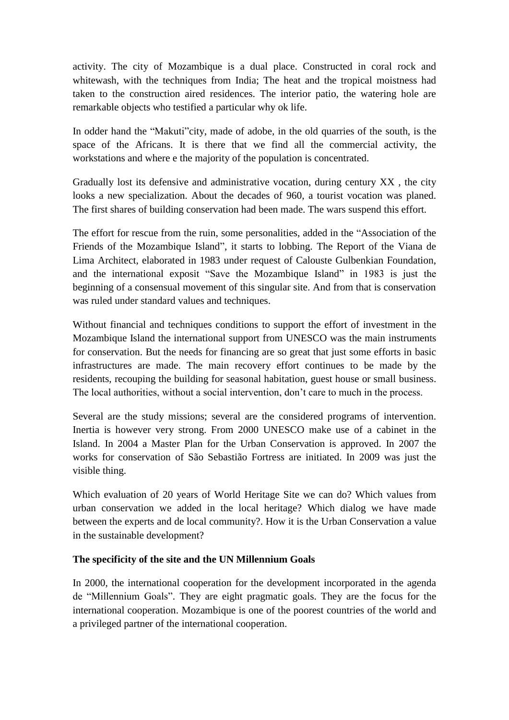activity. The city of Mozambique is a dual place. Constructed in coral rock and whitewash, with the techniques from India; The heat and the tropical moistness had taken to the construction aired residences. The interior patio, the watering hole are remarkable objects who testified a particular why ok life.

In odder hand the "Makuti"city, made of adobe, in the old quarries of the south, is the space of the Africans. It is there that we find all the commercial activity, the workstations and where e the majority of the population is concentrated.

Gradually lost its defensive and administrative vocation, during century XX , the city looks a new specialization. About the decades of 960, a tourist vocation was planed. The first shares of building conservation had been made. The wars suspend this effort.

The effort for rescue from the ruin, some personalities, added in the "Association of the Friends of the Mozambique Island", it starts to lobbing. The Report of the Viana de Lima Architect, elaborated in 1983 under request of Calouste Gulbenkian Foundation, and the international exposit "Save the Mozambique Island" in 1983 is just the beginning of a consensual movement of this singular site. And from that is conservation was ruled under standard values and techniques.

Without financial and techniques conditions to support the effort of investment in the Mozambique Island the international support from UNESCO was the main instruments for conservation. But the needs for financing are so great that just some efforts in basic infrastructures are made. The main recovery effort continues to be made by the residents, recouping the building for seasonal habitation, guest house or small business. The local authorities, without a social intervention, don't care to much in the process.

Several are the study missions; several are the considered programs of intervention. Inertia is however very strong. From 2000 UNESCO make use of a cabinet in the Island. In 2004 a Master Plan for the Urban Conservation is approved. In 2007 the works for conservation of São Sebastião Fortress are initiated. In 2009 was just the visible thing.

Which evaluation of 20 years of World Heritage Site we can do? Which values from urban conservation we added in the local heritage? Which dialog we have made between the experts and de local community?. How it is the Urban Conservation a value in the sustainable development?

#### **The specificity of the site and the UN Millennium Goals**

In 2000, the international cooperation for the development incorporated in the agenda de "Millennium Goals". They are eight pragmatic goals. They are the focus for the international cooperation. Mozambique is one of the poorest countries of the world and a privileged partner of the international cooperation.